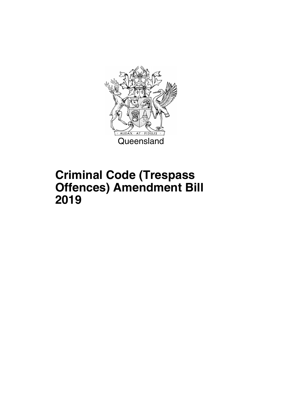

## **Criminal Code (Trespass Offences) Amendment Bill 2019**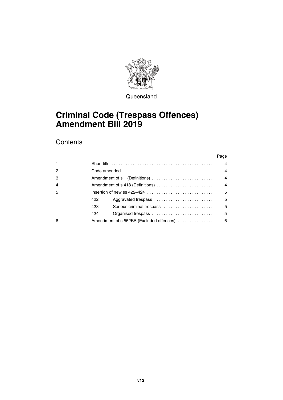

**Queensland** 

### **Criminal Code (Trespass Offences) Amendment Bill 2019**

#### **Contents**

|                |                                          |                                                                                                          | Page           |
|----------------|------------------------------------------|----------------------------------------------------------------------------------------------------------|----------------|
| $\mathbf{1}$   |                                          | Short title $\ldots \ldots \ldots \ldots \ldots \ldots \ldots \ldots \ldots \ldots \ldots \ldots \ldots$ | $\overline{4}$ |
| $\overline{c}$ |                                          |                                                                                                          | 4              |
| 3              | Amendment of s 1 (Definitions)           |                                                                                                          | $\overline{4}$ |
| $\overline{4}$ | Amendment of s 418 (Definitions)         |                                                                                                          | $\overline{4}$ |
| 5              |                                          |                                                                                                          | 5              |
|                | 422                                      | Aggravated trespass                                                                                      | 5              |
|                | 423                                      | Serious criminal trespass                                                                                | 5              |
|                | 424                                      | Organised trespass                                                                                       | 5              |
| 6              | Amendment of s 552BB (Excluded offences) |                                                                                                          | 6              |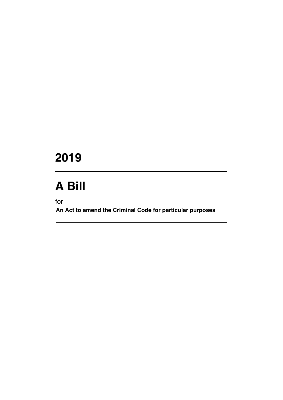## **2019**

# **A Bill**

for

**An Act to amend the Criminal Code for particular purposes**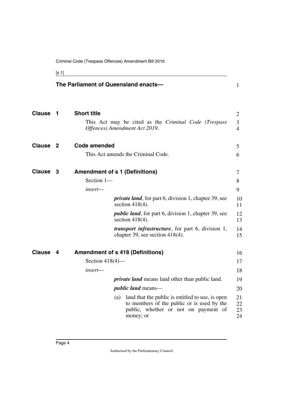<span id="page-5-7"></span><span id="page-5-6"></span><span id="page-5-5"></span><span id="page-5-4"></span><span id="page-5-3"></span><span id="page-5-2"></span><span id="page-5-1"></span><span id="page-5-0"></span>

|                     | [s 1] |                                                                                                                                                            |                      |
|---------------------|-------|------------------------------------------------------------------------------------------------------------------------------------------------------------|----------------------|
|                     |       | The Parliament of Queensland enacts-                                                                                                                       | 1                    |
| <b>Clause</b>       | 1.    | <b>Short title</b>                                                                                                                                         | $\overline{2}$       |
|                     |       | This Act may be cited as the Criminal Code (Trespass<br>Offences) Amendment Act 2019.                                                                      | 3<br>$\overline{4}$  |
| Clause <sub>2</sub> |       | Code amended                                                                                                                                               | 5                    |
|                     |       | This Act amends the Criminal Code.                                                                                                                         | 6                    |
| <b>Clause</b>       | 3     | <b>Amendment of s 1 (Definitions)</b>                                                                                                                      | 7                    |
|                     |       | Section 1-                                                                                                                                                 | 8                    |
|                     |       | insert-                                                                                                                                                    | 9                    |
|                     |       | <i>private land</i> , for part 6, division 1, chapter 39, see<br>section $418(4)$ .                                                                        | 10<br>11             |
|                     |       | <i>public land</i> , for part 6, division 1, chapter 39, see<br>section $418(4)$ .                                                                         | 12<br>13             |
|                     |       | <i>transport infrastructure</i> , for part 6, division 1,<br>chapter 39, see section $418(4)$ .                                                            | 14<br>15             |
| <b>Clause</b>       | 4     | <b>Amendment of s 418 (Definitions)</b>                                                                                                                    | 16                   |
|                     |       | Section $418(4)$ —                                                                                                                                         | 17                   |
|                     |       | insert—                                                                                                                                                    | 18                   |
|                     |       | <i>private land</i> means land other than public land.                                                                                                     | 19                   |
|                     |       | <i>public land</i> means—                                                                                                                                  | 20                   |
|                     |       | land that the public is entitled to use, is open<br>(a)<br>to members of the public or is used by the<br>public, whether or not on payment of<br>money; or | 21<br>22<br>23<br>24 |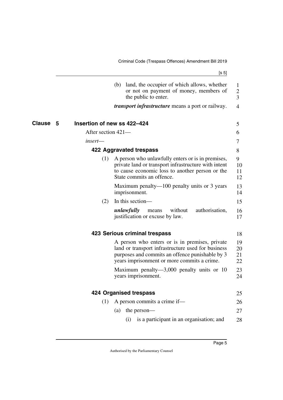[s 5]

<span id="page-6-7"></span><span id="page-6-6"></span><span id="page-6-5"></span><span id="page-6-4"></span><span id="page-6-3"></span><span id="page-6-2"></span><span id="page-6-1"></span><span id="page-6-0"></span>

|             |                    | land, the occupier of which allows, whether<br>(b)<br>or not on payment of money, members of<br>the public to enter.                                                                                   | 1<br>$\overline{2}$<br>3 |
|-------------|--------------------|--------------------------------------------------------------------------------------------------------------------------------------------------------------------------------------------------------|--------------------------|
|             |                    | <i>transport infrastructure</i> means a port or railway.                                                                                                                                               | $\overline{4}$           |
| Clause<br>5 |                    | Insertion of new ss 422-424                                                                                                                                                                            | 5                        |
|             | After section 421- |                                                                                                                                                                                                        | 6                        |
|             | insert—            |                                                                                                                                                                                                        | 7                        |
|             |                    | 422 Aggravated trespass                                                                                                                                                                                | 8                        |
|             | (1)                | A person who unlawfully enters or is in premises,<br>private land or transport infrastructure with intent<br>to cause economic loss to another person or the<br>State commits an offence.              | 9<br>10<br>11<br>12      |
|             |                    | Maximum penalty—100 penalty units or 3 years<br>imprisonment.                                                                                                                                          | 13<br>14                 |
|             | (2)                | In this section-                                                                                                                                                                                       | 15                       |
|             |                    | unlawfully<br>without<br>authorisation,<br>means<br>justification or excuse by law.                                                                                                                    | 16<br>17                 |
|             |                    | 423 Serious criminal trespass                                                                                                                                                                          | 18                       |
|             |                    | A person who enters or is in premises, private<br>land or transport infrastructure used for business<br>purposes and commits an offence punishable by 3<br>years imprisonment or more commits a crime. | 19<br>20<br>21<br>22     |
|             |                    | Maximum penalty—3,000 penalty units or $10$<br>years imprisonment.                                                                                                                                     | 23<br>24                 |
|             |                    | <b>424 Organised trespass</b>                                                                                                                                                                          | 25                       |
|             | (1)                | A person commits a crime if—                                                                                                                                                                           | 26                       |
|             |                    | the person—<br>(a)                                                                                                                                                                                     | 27                       |
|             |                    | is a participant in an organisation; and<br>$\left( 1\right)$                                                                                                                                          | 28                       |